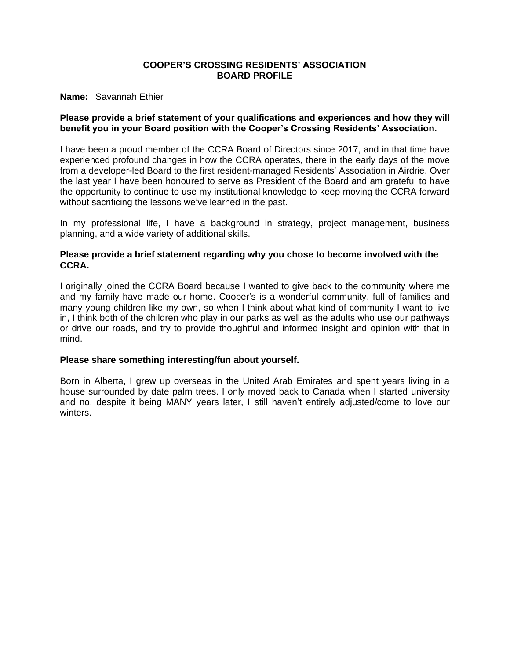### **Name:** Savannah Ethier

# **Please provide a brief statement of your qualifications and experiences and how they will benefit you in your Board position with the Cooper's Crossing Residents' Association.**

I have been a proud member of the CCRA Board of Directors since 2017, and in that time have experienced profound changes in how the CCRA operates, there in the early days of the move from a developer-led Board to the first resident-managed Residents' Association in Airdrie. Over the last year I have been honoured to serve as President of the Board and am grateful to have the opportunity to continue to use my institutional knowledge to keep moving the CCRA forward without sacrificing the lessons we've learned in the past.

In my professional life, I have a background in strategy, project management, business planning, and a wide variety of additional skills.

# **Please provide a brief statement regarding why you chose to become involved with the CCRA.**

I originally joined the CCRA Board because I wanted to give back to the community where me and my family have made our home. Cooper's is a wonderful community, full of families and many young children like my own, so when I think about what kind of community I want to live in, I think both of the children who play in our parks as well as the adults who use our pathways or drive our roads, and try to provide thoughtful and informed insight and opinion with that in mind.

### **Please share something interesting/fun about yourself.**

Born in Alberta, I grew up overseas in the United Arab Emirates and spent years living in a house surrounded by date palm trees. I only moved back to Canada when I started university and no, despite it being MANY years later, I still haven't entirely adjusted/come to love our winters.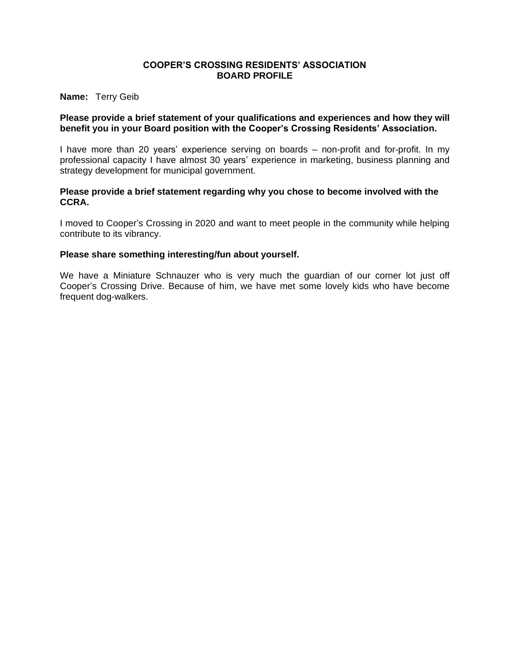**Name:** Terry Geib

# **Please provide a brief statement of your qualifications and experiences and how they will benefit you in your Board position with the Cooper's Crossing Residents' Association.**

I have more than 20 years' experience serving on boards – non-profit and for-profit. In my professional capacity I have almost 30 years' experience in marketing, business planning and strategy development for municipal government.

## **Please provide a brief statement regarding why you chose to become involved with the CCRA.**

I moved to Cooper's Crossing in 2020 and want to meet people in the community while helping contribute to its vibrancy.

# **Please share something interesting/fun about yourself.**

We have a Miniature Schnauzer who is very much the guardian of our corner lot just off Cooper's Crossing Drive. Because of him, we have met some lovely kids who have become frequent dog-walkers.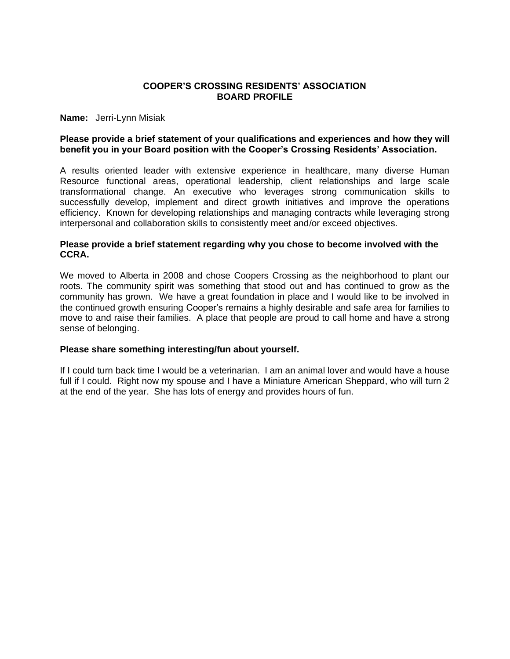**Name:** Jerri-Lynn Misiak

### **Please provide a brief statement of your qualifications and experiences and how they will benefit you in your Board position with the Cooper's Crossing Residents' Association.**

A results oriented leader with extensive experience in healthcare, many diverse Human Resource functional areas, operational leadership, client relationships and large scale transformational change. An executive who leverages strong communication skills to successfully develop, implement and direct growth initiatives and improve the operations efficiency. Known for developing relationships and managing contracts while leveraging strong interpersonal and collaboration skills to consistently meet and/or exceed objectives.

## **Please provide a brief statement regarding why you chose to become involved with the CCRA.**

We moved to Alberta in 2008 and chose Coopers Crossing as the neighborhood to plant our roots. The community spirit was something that stood out and has continued to grow as the community has grown. We have a great foundation in place and I would like to be involved in the continued growth ensuring Cooper's remains a highly desirable and safe area for families to move to and raise their families. A place that people are proud to call home and have a strong sense of belonging.

### **Please share something interesting/fun about yourself.**

If I could turn back time I would be a veterinarian. I am an animal lover and would have a house full if I could. Right now my spouse and I have a Miniature American Sheppard, who will turn 2 at the end of the year. She has lots of energy and provides hours of fun.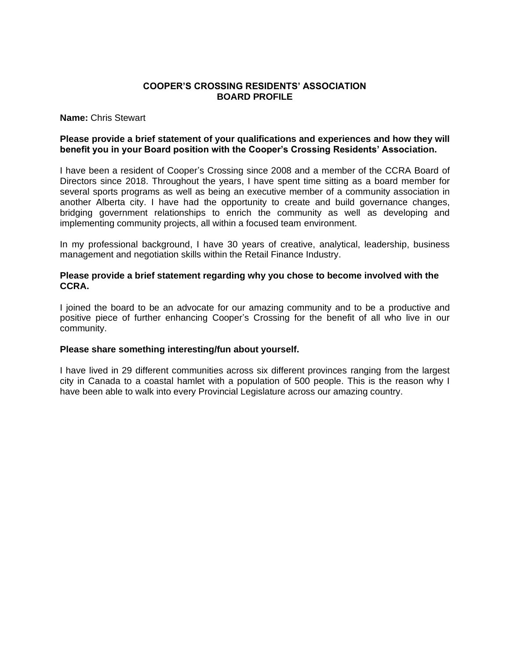#### **Name:** Chris Stewart

### **Please provide a brief statement of your qualifications and experiences and how they will benefit you in your Board position with the Cooper's Crossing Residents' Association.**

I have been a resident of Cooper's Crossing since 2008 and a member of the CCRA Board of Directors since 2018. Throughout the years, I have spent time sitting as a board member for several sports programs as well as being an executive member of a community association in another Alberta city. I have had the opportunity to create and build governance changes, bridging government relationships to enrich the community as well as developing and implementing community projects, all within a focused team environment.

In my professional background, I have 30 years of creative, analytical, leadership, business management and negotiation skills within the Retail Finance Industry.

## **Please provide a brief statement regarding why you chose to become involved with the CCRA.**

I joined the board to be an advocate for our amazing community and to be a productive and positive piece of further enhancing Cooper's Crossing for the benefit of all who live in our community.

### **Please share something interesting/fun about yourself.**

I have lived in 29 different communities across six different provinces ranging from the largest city in Canada to a coastal hamlet with a population of 500 people. This is the reason why I have been able to walk into every Provincial Legislature across our amazing country.